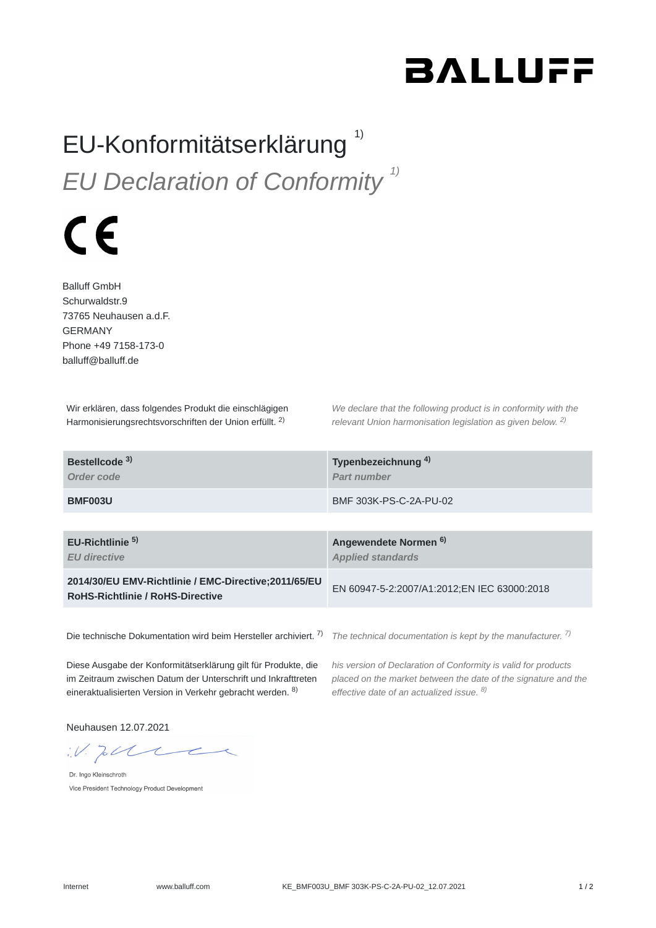## **BALLUFF**

## EU-Konformitätserklärung<sup>1)</sup> *EU Declaration of Conformity 1)*

## $\epsilon$

Balluff GmbH Schurwaldstr.9 73765 Neuhausen a.d.F. GERMANY Phone +49 7158-173-0 balluff@balluff.de

Wir erklären, dass folgendes Produkt die einschlägigen Harmonisierungsrechtsvorschriften der Union erfüllt. <sup>2)</sup>

*We declare that the following product is in conformity with the relevant Union harmonisation legislation as given below.* 2) *2)*

| Bestellcode <sup>3)</sup><br>Order code                                                  | Typenbezeichnung <sup>4)</sup><br>Part number                |
|------------------------------------------------------------------------------------------|--------------------------------------------------------------|
| <b>BMF003U</b>                                                                           | BMF 303K-PS-C-2A-PU-02                                       |
|                                                                                          |                                                              |
| EU-Richtlinie <sup>5)</sup><br><b>EU directive</b>                                       | Angewendete Normen <sup>6)</sup><br><b>Applied standards</b> |
| 2014/30/EU EMV-Richtlinie / EMC-Directive;2011/65/EU<br>RoHS-Richtlinie / RoHS-Directive | EN 60947-5-2:2007/A1:2012;EN IEC 63000:2018                  |
|                                                                                          |                                                              |

Die technische Dokumentation wird beim Hersteller archiviert. <sup>7)</sup> The technical documentation is kept by the manufacturer. <sup>7)</sup>

Diese Ausgabe der Konformitätserklärung gilt für Produkte, die im Zeitraum zwischen Datum der Unterschrift und Inkrafttreten eineraktualisierten Version in Verkehr gebracht werden. <sup>8)</sup>

*his version of Declaration of Conformity is valid for products placed on the market between the date of the signature and the effective date of an actualized issue. 8)*

Neuhausen 12.07.2021

 $W.$  To the

Dr. Ingo Kleinschroth Vice President Technology Product Development

Internet www.balluff.com KE\_BMF003U\_BMF 303K-PS-C-2A-PU-02\_12.07.2021 1 / 2